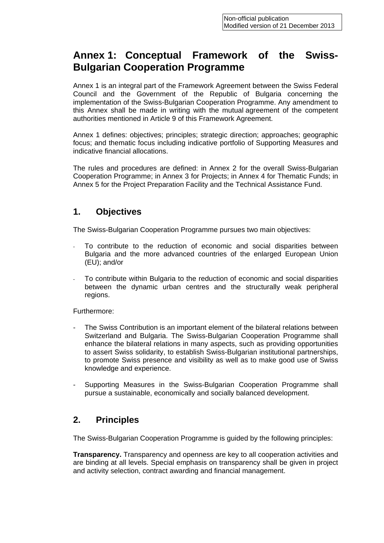# **Annex 1: Conceptual Framework of the Swiss-Bulgarian Cooperation Programme**

Annex 1 is an integral part of the Framework Agreement between the Swiss Federal Council and the Government of the Republic of Bulgaria concerning the implementation of the Swiss-Bulgarian Cooperation Programme. Any amendment to this Annex shall be made in writing with the mutual agreement of the competent authorities mentioned in Article 9 of this Framework Agreement.

Annex 1 defines: objectives; principles; strategic direction; approaches; geographic focus; and thematic focus including indicative portfolio of Supporting Measures and indicative financial allocations.

The rules and procedures are defined: in Annex 2 for the overall Swiss-Bulgarian Cooperation Programme; in Annex 3 for Projects; in Annex 4 for Thematic Funds; in Annex 5 for the Project Preparation Facility and the Technical Assistance Fund.

### **1. Objectives**

The Swiss-Bulgarian Cooperation Programme pursues two main objectives:

- To contribute to the reduction of economic and social disparities between Bulgaria and the more advanced countries of the enlarged European Union (EU); and/or
- To contribute within Bulgaria to the reduction of economic and social disparities between the dynamic urban centres and the structurally weak peripheral regions.

Furthermore:

- The Swiss Contribution is an important element of the bilateral relations between Switzerland and Bulgaria. The Swiss-Bulgarian Cooperation Programme shall enhance the bilateral relations in many aspects, such as providing opportunities to assert Swiss solidarity, to establish Swiss-Bulgarian institutional partnerships, to promote Swiss presence and visibility as well as to make good use of Swiss knowledge and experience.
- Supporting Measures in the Swiss-Bulgarian Cooperation Programme shall pursue a sustainable, economically and socially balanced development.

### **2. Principles**

The Swiss-Bulgarian Cooperation Programme is guided by the following principles:

**Transparency.** Transparency and openness are key to all cooperation activities and are binding at all levels. Special emphasis on transparency shall be given in project and activity selection, contract awarding and financial management.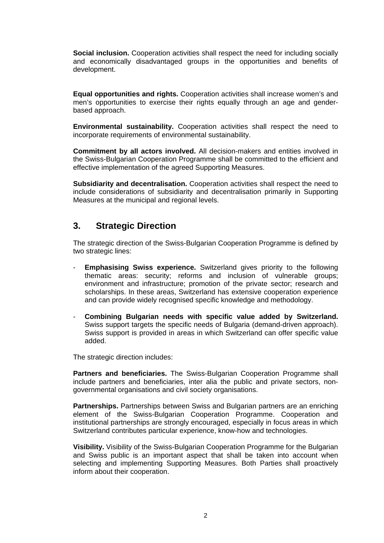**Social inclusion.** Cooperation activities shall respect the need for including socially and economically disadvantaged groups in the opportunities and benefits of development.

**Equal opportunities and rights.** Cooperation activities shall increase women's and men's opportunities to exercise their rights equally through an age and genderbased approach.

**Environmental sustainability.** Cooperation activities shall respect the need to incorporate requirements of environmental sustainability.

**Commitment by all actors involved.** All decision-makers and entities involved in the Swiss-Bulgarian Cooperation Programme shall be committed to the efficient and effective implementation of the agreed Supporting Measures.

**Subsidiarity and decentralisation.** Cooperation activities shall respect the need to include considerations of subsidiarity and decentralisation primarily in Supporting Measures at the municipal and regional levels.

#### **3. Strategic Direction**

The strategic direction of the Swiss-Bulgarian Cooperation Programme is defined by two strategic lines:

- **Emphasising Swiss experience.** Switzerland gives priority to the following thematic areas: security; reforms and inclusion of vulnerable groups; environment and infrastructure; promotion of the private sector; research and scholarships. In these areas, Switzerland has extensive cooperation experience and can provide widely recognised specific knowledge and methodology.
- **Combining Bulgarian needs with specific value added by Switzerland.** Swiss support targets the specific needs of Bulgaria (demand-driven approach). Swiss support is provided in areas in which Switzerland can offer specific value added.

The strategic direction includes:

**Partners and beneficiaries.** The Swiss-Bulgarian Cooperation Programme shall include partners and beneficiaries, inter alia the public and private sectors, nongovernmental organisations and civil society organisations.

**Partnerships.** Partnerships between Swiss and Bulgarian partners are an enriching element of the Swiss-Bulgarian Cooperation Programme. Cooperation and institutional partnerships are strongly encouraged, especially in focus areas in which Switzerland contributes particular experience, know-how and technologies.

**Visibility.** Visibility of the Swiss-Bulgarian Cooperation Programme for the Bulgarian and Swiss public is an important aspect that shall be taken into account when selecting and implementing Supporting Measures. Both Parties shall proactively inform about their cooperation.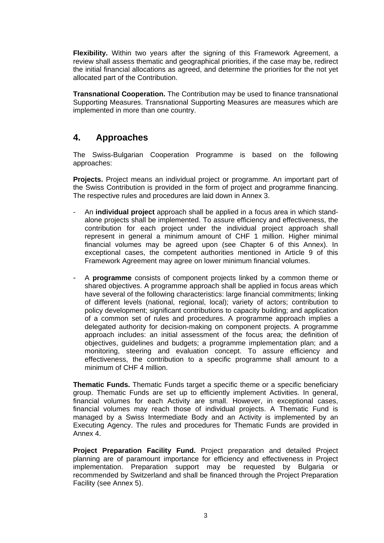**Flexibility.** Within two years after the signing of this Framework Agreement, a review shall assess thematic and geographical priorities, if the case may be, redirect the initial financial allocations as agreed, and determine the priorities for the not yet allocated part of the Contribution.

**Transnational Cooperation.** The Contribution may be used to finance transnational Supporting Measures. Transnational Supporting Measures are measures which are implemented in more than one country.

### **4. Approaches**

The Swiss-Bulgarian Cooperation Programme is based on the following approaches:

**Projects.** Project means an individual project or programme. An important part of the Swiss Contribution is provided in the form of project and programme financing. The respective rules and procedures are laid down in Annex 3.

- An **individual project** approach shall be applied in a focus area in which standalone projects shall be implemented. To assure efficiency and effectiveness, the contribution for each project under the individual project approach shall represent in general a minimum amount of CHF 1 million. Higher minimal financial volumes may be agreed upon (see Chapter 6 of this Annex). In exceptional cases, the competent authorities mentioned in Article 9 of this Framework Agreement may agree on lower minimum financial volumes.
- A **programme** consists of component projects linked by a common theme or shared objectives. A programme approach shall be applied in focus areas which have several of the following characteristics: large financial commitments; linking of different levels (national, regional, local); variety of actors; contribution to policy development; significant contributions to capacity building; and application of a common set of rules and procedures. A programme approach implies a delegated authority for decision-making on component projects. A programme approach includes: an initial assessment of the focus area; the definition of objectives, guidelines and budgets; a programme implementation plan; and a monitoring, steering and evaluation concept. To assure efficiency and effectiveness, the contribution to a specific programme shall amount to a minimum of CHF 4 million.

**Thematic Funds.** Thematic Funds target a specific theme or a specific beneficiary group. Thematic Funds are set up to efficiently implement Activities. In general, financial volumes for each Activity are small. However, in exceptional cases, financial volumes may reach those of individual projects. A Thematic Fund is managed by a Swiss Intermediate Body and an Activity is implemented by an Executing Agency. The rules and procedures for Thematic Funds are provided in Annex 4.

**Project Preparation Facility Fund.** Project preparation and detailed Project planning are of paramount importance for efficiency and effectiveness in Project implementation. Preparation support may be requested by Bulgaria or recommended by Switzerland and shall be financed through the Project Preparation Facility (see Annex 5).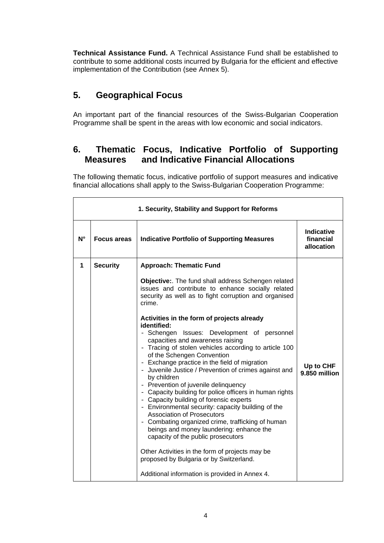**Technical Assistance Fund.** A Technical Assistance Fund shall be established to contribute to some additional costs incurred by Bulgaria for the efficient and effective implementation of the Contribution (see Annex 5).

### **5. Geographical Focus**

An important part of the financial resources of the Swiss-Bulgarian Cooperation Programme shall be spent in the areas with low economic and social indicators.

## **6. Thematic Focus, Indicative Portfolio of Supporting Measures and Indicative Financial Allocations**

The following thematic focus, indicative portfolio of support measures and indicative financial allocations shall apply to the Swiss-Bulgarian Cooperation Programme:

| 1. Security, Stability and Support for Reforms |                    |                                                                                                                                                                                                                                                                                                                                                                                                                                                                                                                                                                                                                                                                                                                                                                                                                                                                                                                                                                  |                                       |
|------------------------------------------------|--------------------|------------------------------------------------------------------------------------------------------------------------------------------------------------------------------------------------------------------------------------------------------------------------------------------------------------------------------------------------------------------------------------------------------------------------------------------------------------------------------------------------------------------------------------------------------------------------------------------------------------------------------------------------------------------------------------------------------------------------------------------------------------------------------------------------------------------------------------------------------------------------------------------------------------------------------------------------------------------|---------------------------------------|
| $N^{\circ}$                                    | <b>Focus areas</b> | <b>Indicative Portfolio of Supporting Measures</b>                                                                                                                                                                                                                                                                                                                                                                                                                                                                                                                                                                                                                                                                                                                                                                                                                                                                                                               | Indicative<br>financial<br>allocation |
| 1                                              | <b>Security</b>    | <b>Approach: Thematic Fund</b><br>Objective:. The fund shall address Schengen related<br>issues and contribute to enhance socially related<br>security as well as to fight corruption and organised<br>crime.<br>Activities in the form of projects already<br>identified:<br>- Schengen<br>Issues: Development of personnel<br>capacities and awareness raising<br>- Tracing of stolen vehicles according to article 100<br>of the Schengen Convention<br>- Exchange practice in the field of migration<br>- Juvenile Justice / Prevention of crimes against and<br>by children<br>- Prevention of juvenile delinquency<br>- Capacity building for police officers in human rights<br>- Capacity building of forensic experts<br>- Environmental security: capacity building of the<br><b>Association of Prosecutors</b><br>- Combating organized crime, trafficking of human<br>beings and money laundering: enhance the<br>capacity of the public prosecutors | Up to CHF<br>9.850 million            |
|                                                |                    | Other Activities in the form of projects may be<br>proposed by Bulgaria or by Switzerland.<br>Additional information is provided in Annex 4.                                                                                                                                                                                                                                                                                                                                                                                                                                                                                                                                                                                                                                                                                                                                                                                                                     |                                       |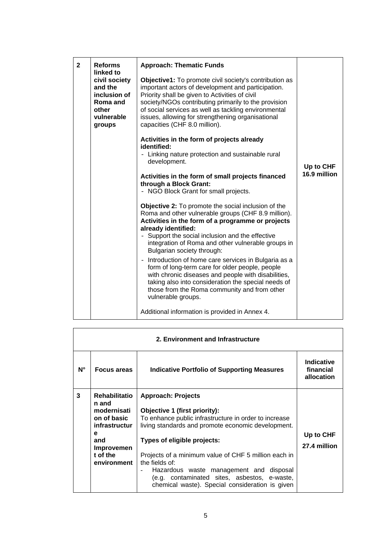| $\mathbf{2}$ | <b>Reforms</b><br>linked to                                                           | <b>Approach: Thematic Funds</b>                                                                                                                                                                                                                                                                                                                                             |              |
|--------------|---------------------------------------------------------------------------------------|-----------------------------------------------------------------------------------------------------------------------------------------------------------------------------------------------------------------------------------------------------------------------------------------------------------------------------------------------------------------------------|--------------|
|              | civil society<br>and the<br>inclusion of<br>Roma and<br>other<br>vulnerable<br>groups | <b>Objective1:</b> To promote civil society's contribution as<br>important actors of development and participation.<br>Priority shall be given to Activities of civil<br>society/NGOs contributing primarily to the provision<br>of social services as well as tackling environmental<br>issues, allowing for strengthening organisational<br>capacities (CHF 8.0 million). |              |
|              |                                                                                       | Activities in the form of projects already<br>identified:                                                                                                                                                                                                                                                                                                                   |              |
|              |                                                                                       | - Linking nature protection and sustainable rural<br>development.                                                                                                                                                                                                                                                                                                           | Up to CHF    |
|              |                                                                                       | Activities in the form of small projects financed<br>through a Block Grant:<br>- NGO Block Grant for small projects.                                                                                                                                                                                                                                                        | 16.9 million |
|              |                                                                                       | Objective 2: To promote the social inclusion of the<br>Roma and other vulnerable groups (CHF 8.9 million).<br>Activities in the form of a programme or projects<br>already identified:<br>- Support the social inclusion and the effective<br>integration of Roma and other vulnerable groups in<br>Bulgarian society through:                                              |              |
|              |                                                                                       | Introduction of home care services in Bulgaria as a<br>form of long-term care for older people, people<br>with chronic diseases and people with disabilities,<br>taking also into consideration the special needs of<br>those from the Roma community and from other<br>vulnerable groups.                                                                                  |              |
|              |                                                                                       | Additional information is provided in Annex 4.                                                                                                                                                                                                                                                                                                                              |              |

| 2. Environment and Infrastructure |                               |                                                                                                 |                                              |  |
|-----------------------------------|-------------------------------|-------------------------------------------------------------------------------------------------|----------------------------------------------|--|
| N°                                | <b>Focus areas</b>            | <b>Indicative Portfolio of Supporting Measures</b>                                              | <b>Indicative</b><br>financial<br>allocation |  |
| 3                                 | <b>Rehabilitatio</b><br>n and | <b>Approach: Projects</b>                                                                       |                                              |  |
|                                   | modernisati                   | Objective 1 (first priority):                                                                   |                                              |  |
|                                   | on of basic                   | To enhance public infrastructure in order to increase                                           |                                              |  |
|                                   | infrastructur                 | living standards and promote economic development.                                              |                                              |  |
|                                   | е<br>and                      | Types of eligible projects:                                                                     | Up to CHF<br>27.4 million                    |  |
|                                   | <b>Improvemen</b>             |                                                                                                 |                                              |  |
|                                   | t of the                      | Projects of a minimum value of CHF 5 million each in                                            |                                              |  |
|                                   | environment                   | the fields of:<br>Hazardous waste management and disposal                                       |                                              |  |
|                                   |                               | (e.g. contaminated sites, asbestos, e-waste,<br>chemical waste). Special consideration is given |                                              |  |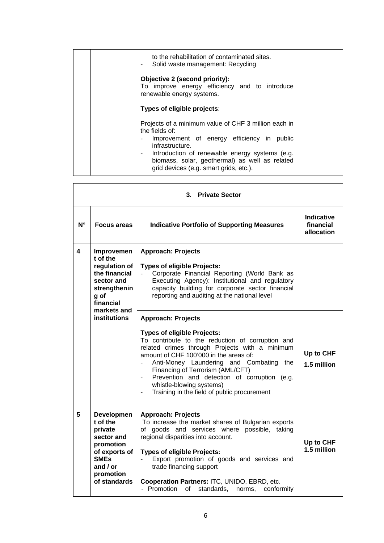|  | to the rehabilitation of contaminated sites.<br>Solid waste management: Recycling                                                                                                                                                                                                     |  |
|--|---------------------------------------------------------------------------------------------------------------------------------------------------------------------------------------------------------------------------------------------------------------------------------------|--|
|  | Objective 2 (second priority):<br>To improve energy efficiency and to introduce<br>renewable energy systems.                                                                                                                                                                          |  |
|  | Types of eligible projects:                                                                                                                                                                                                                                                           |  |
|  | Projects of a minimum value of CHF 3 million each in<br>the fields of:<br>Improvement of energy efficiency in public<br>infrastructure.<br>Introduction of renewable energy systems (e.g.<br>biomass, solar, geothermal) as well as related<br>grid devices (e.g. smart grids, etc.). |  |

| 3. Private Sector |                                                                                                                                                |                                                                                                                                                                                                                                                                                                                                                                                                                                                          |                                       |
|-------------------|------------------------------------------------------------------------------------------------------------------------------------------------|----------------------------------------------------------------------------------------------------------------------------------------------------------------------------------------------------------------------------------------------------------------------------------------------------------------------------------------------------------------------------------------------------------------------------------------------------------|---------------------------------------|
| $N^{\circ}$       | <b>Focus areas</b>                                                                                                                             | <b>Indicative Portfolio of Supporting Measures</b>                                                                                                                                                                                                                                                                                                                                                                                                       | Indicative<br>financial<br>allocation |
| 4                 | Improvemen<br>t of the<br>regulation of<br>the financial<br>sector and<br>strengthenin<br>g of<br>financial<br>markets and                     | <b>Approach: Projects</b><br><b>Types of eligible Projects:</b><br>Corporate Financial Reporting (World Bank as<br>Executing Agency): Institutional and regulatory<br>capacity building for corporate sector financial<br>reporting and auditing at the national level                                                                                                                                                                                   |                                       |
|                   | institutions                                                                                                                                   | <b>Approach: Projects</b><br><b>Types of eligible Projects:</b><br>To contribute to the reduction of corruption and<br>related crimes through Projects with a minimum<br>amount of CHF 100'000 in the areas of:<br>Anti-Money Laundering and Combating<br>the<br>Financing of Terrorism (AML/CFT)<br>Prevention and detection of corruption (e.g.<br>$\overline{\phantom{0}}$<br>whistle-blowing systems)<br>Training in the field of public procurement | Up to CHF<br>1.5 million              |
| 5                 | <b>Developmen</b><br>t of the<br>private<br>sector and<br>promotion<br>of exports of<br><b>SMEs</b><br>and $/$ or<br>promotion<br>of standards | <b>Approach: Projects</b><br>To increase the market shares of Bulgarian exports<br>of goods and services where possible, taking<br>regional disparities into account.<br><b>Types of eligible Projects:</b><br>Export promotion of goods and services and<br>trade financing support<br>Cooperation Partners: ITC, UNIDO, EBRD, etc.<br>- Promotion of<br>standards,<br>conformity<br>norms,                                                             | Up to CHF<br>1.5 million              |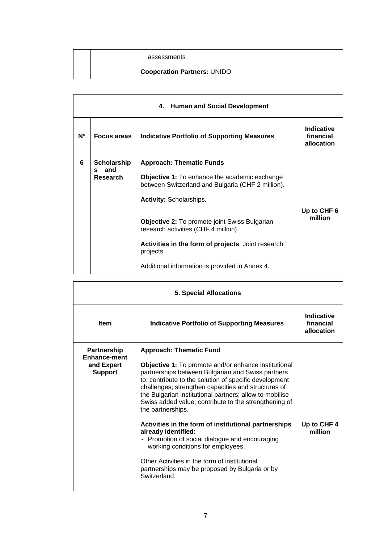|  | assessments                        |  |
|--|------------------------------------|--|
|  | <b>Cooperation Partners: UNIDO</b> |  |

| 4. Human and Social Development |                                 |                                                                                                           |                                       |  |
|---------------------------------|---------------------------------|-----------------------------------------------------------------------------------------------------------|---------------------------------------|--|
| $N^{\circ}$                     | Focus areas                     | <b>Indicative Portfolio of Supporting Measures</b>                                                        | Indicative<br>financial<br>allocation |  |
| 6                               | <b>Scholarship</b><br>and<br>S. | <b>Approach: Thematic Funds</b>                                                                           |                                       |  |
| Research                        |                                 | <b>Objective 1:</b> To enhance the academic exchange<br>between Switzerland and Bulgaria (CHF 2 million). |                                       |  |
|                                 |                                 | <b>Activity: Scholarships.</b>                                                                            |                                       |  |
|                                 |                                 |                                                                                                           | Up to CHF 6                           |  |
|                                 |                                 | <b>Objective 2:</b> To promote joint Swiss Bulgarian<br>research activities (CHF 4 million).              | million                               |  |
|                                 |                                 | Activities in the form of projects: Joint research<br>projects.                                           |                                       |  |
|                                 |                                 | Additional information is provided in Annex 4.                                                            |                                       |  |

| <b>5. Special Allocations</b>                                             |                                                                                                                                                                                                                                                                                                                                                                                                                                                                                                                                                                                                                                                                                                |                                              |
|---------------------------------------------------------------------------|------------------------------------------------------------------------------------------------------------------------------------------------------------------------------------------------------------------------------------------------------------------------------------------------------------------------------------------------------------------------------------------------------------------------------------------------------------------------------------------------------------------------------------------------------------------------------------------------------------------------------------------------------------------------------------------------|----------------------------------------------|
| <b>Item</b>                                                               | <b>Indicative Portfolio of Supporting Measures</b>                                                                                                                                                                                                                                                                                                                                                                                                                                                                                                                                                                                                                                             | <b>Indicative</b><br>financial<br>allocation |
| <b>Partnership</b><br><b>Enhance-ment</b><br>and Expert<br><b>Support</b> | <b>Approach: Thematic Fund</b><br>Objective 1: To promote and/or enhance institutional<br>partnerships between Bulgarian and Swiss partners<br>to: contribute to the solution of specific development<br>challenges; strengthen capacities and structures of<br>the Bulgarian institutional partners; allow to mobilise<br>Swiss added value; contribute to the strengthening of<br>the partnerships.<br>Activities in the form of institutional partnerships<br>already identified:<br>- Promotion of social dialogue and encouraging<br>working conditions for employees.<br>Other Activities in the form of institutional<br>partnerships may be proposed by Bulgaria or by<br>Switzerland. | Up to CHF 4<br>million                       |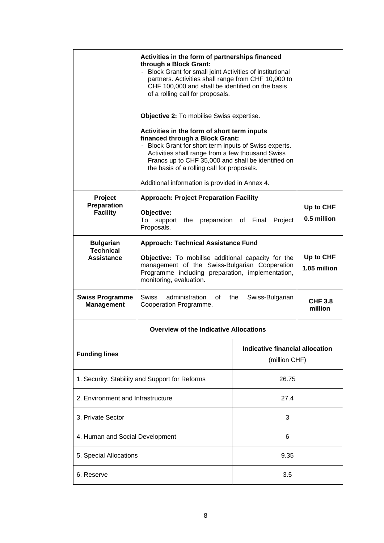|                                                    | Activities in the form of partnerships financed<br>through a Block Grant:<br>- Block Grant for small joint Activities of institutional<br>partners. Activities shall range from CHF 10,000 to<br>CHF 100,000 and shall be identified on the basis<br>of a rolling call for proposals.<br><b>Objective 2:</b> To mobilise Swiss expertise.<br>Activities in the form of short term inputs<br>financed through a Block Grant:<br>- Block Grant for short term inputs of Swiss experts.<br>Activities shall range from a few thousand Swiss<br>Francs up to CHF 35,000 and shall be identified on<br>the basis of a rolling call for proposals. |                                                  |                           |
|----------------------------------------------------|----------------------------------------------------------------------------------------------------------------------------------------------------------------------------------------------------------------------------------------------------------------------------------------------------------------------------------------------------------------------------------------------------------------------------------------------------------------------------------------------------------------------------------------------------------------------------------------------------------------------------------------------|--------------------------------------------------|---------------------------|
|                                                    | Additional information is provided in Annex 4.                                                                                                                                                                                                                                                                                                                                                                                                                                                                                                                                                                                               |                                                  |                           |
| Project<br>Preparation<br><b>Facility</b>          | <b>Approach: Project Preparation Facility</b><br>Objective:<br>preparation of Final<br>Project<br>To<br>support<br>the<br>Proposals.                                                                                                                                                                                                                                                                                                                                                                                                                                                                                                         |                                                  | Up to CHF<br>0.5 million  |
| <b>Bulgarian</b><br><b>Technical</b><br>Assistance | <b>Approach: Technical Assistance Fund</b><br>Objective: To mobilise additional capacity for the<br>management of the Swiss-Bulgarian Cooperation<br>Programme including preparation, implementation,<br>monitoring, evaluation.                                                                                                                                                                                                                                                                                                                                                                                                             |                                                  | Up to CHF<br>1.05 million |
| <b>Swiss Programme</b><br><b>Management</b>        | Swiss<br>administration<br>0f<br>Cooperation Programme.                                                                                                                                                                                                                                                                                                                                                                                                                                                                                                                                                                                      | the<br>Swiss-Bulgarian                           | <b>CHF 3.8</b><br>million |
|                                                    | <b>Overview of the Indicative Allocations</b>                                                                                                                                                                                                                                                                                                                                                                                                                                                                                                                                                                                                |                                                  |                           |
| <b>Funding lines</b>                               |                                                                                                                                                                                                                                                                                                                                                                                                                                                                                                                                                                                                                                              | Indicative financial allocation<br>(million CHF) |                           |
| 1. Security, Stability and Support for Reforms     |                                                                                                                                                                                                                                                                                                                                                                                                                                                                                                                                                                                                                                              | 26.75                                            |                           |
| 2. Environment and Infrastructure                  |                                                                                                                                                                                                                                                                                                                                                                                                                                                                                                                                                                                                                                              | 27.4                                             |                           |
| 3. Private Sector                                  |                                                                                                                                                                                                                                                                                                                                                                                                                                                                                                                                                                                                                                              | 3                                                |                           |
| 4. Human and Social Development                    |                                                                                                                                                                                                                                                                                                                                                                                                                                                                                                                                                                                                                                              | 6                                                |                           |
| 5. Special Allocations                             |                                                                                                                                                                                                                                                                                                                                                                                                                                                                                                                                                                                                                                              | 9.35                                             |                           |
| 6. Reserve                                         |                                                                                                                                                                                                                                                                                                                                                                                                                                                                                                                                                                                                                                              | 3.5                                              |                           |